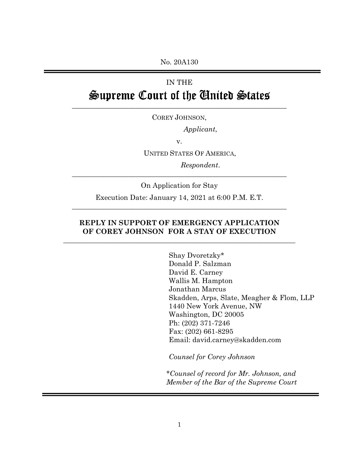No. 20A130

## IN THE Supreme Court of the Ginited States

COREY JOHNSON,

\_\_\_\_\_\_\_\_\_\_\_\_\_\_\_\_\_\_\_\_\_\_\_\_\_\_\_\_\_\_\_\_\_\_\_\_\_\_\_\_\_\_\_\_\_\_\_\_\_\_\_\_\_\_\_\_\_\_\_\_\_

*Applicant*,

v.

UNITED STATES OF AMERICA,

*Respondent*.

On Application for Stay

\_\_\_\_\_\_\_\_\_\_\_\_\_\_\_\_\_\_\_\_\_\_\_\_\_\_\_\_\_\_\_\_\_\_\_\_\_\_\_\_\_\_\_\_\_\_\_\_\_\_\_\_\_\_\_\_\_\_\_\_\_

Execution Date: January 14, 2021 at 6:00 P.M. E.T. \_\_\_\_\_\_\_\_\_\_\_\_\_\_\_\_\_\_\_\_\_\_\_\_\_\_\_\_\_\_\_\_\_\_\_\_\_\_\_\_\_\_\_\_\_\_\_\_\_\_\_\_\_\_\_\_\_\_\_\_\_

## **REPLY IN SUPPORT OF EMERGENCY APPLICATION OF COREY JOHNSON FOR A STAY OF EXECUTION**

**\_\_\_\_\_\_\_\_\_\_\_\_\_\_\_\_\_\_\_\_\_\_\_\_\_\_\_\_\_\_\_\_\_\_\_\_\_\_\_\_\_\_\_\_\_\_\_\_\_\_\_\_\_\_\_\_\_\_\_\_\_\_\_\_\_\_** 

Shay Dvoretzky\* Donald P. Salzman David E. Carney Wallis M. Hampton Jonathan Marcus Skadden, Arps, Slate, Meagher & Flom, LLP 1440 New York Avenue, NW Washington, DC 20005 Ph: (202) 371-7246 Fax: (202) 661-8295 Email: david.carney@skadden.com

*Counsel for Corey Johnson* 

*\*Counsel of record for Mr. Johnson, and Member of the Bar of the Supreme Court*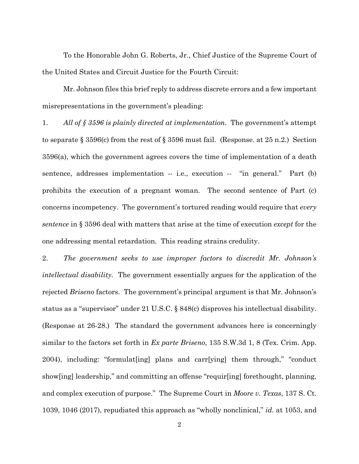To the Honorable John G. Roberts, Jr., Chief Justice of the Supreme Court of the United States and Circuit Justice for the Fourth Circuit:

Mr. Johnson files this brief reply to address discrete errors and a few important misrepresentations in the government's pleading:

1. *All of § 3596 is plainly directed at implementation.* The government's attempt to separate § 3596(c) from the rest of § 3596 must fail. (Response. at 25 n.2.) Section 3596(a), which the government agrees covers the time of implementation of a death sentence, addresses implementation -- i.e., execution -- "in general." Part (b) prohibits the execution of a pregnant woman. The second sentence of Part (c) concerns incompetency. The government's tortured reading would require that *every sentence* in § 3596 deal with matters that arise at the time of execution *except* for the one addressing mental retardation. This reading strains credulity.

2. *The government seeks to use improper factors to discredit Mr. Johnson's intellectual disability.* The government essentially argues for the application of the rejected *Briseno* factors. The government's principal argument is that Mr. Johnson's status as a "supervisor" under 21 U.S.C. § 848(c) disproves his intellectual disability. (Response at 26-28.) The standard the government advances here is concerningly similar to the factors set forth in *Ex parte Briseno*, 135 S.W.3d 1, 8 (Tex. Crim. App. 2004), including: "formulat[ing] plans and carr[ying] them through," "conduct show[ing] leadership," and committing an offense "requir[ing] forethought, planning, and complex execution of purpose." The Supreme Court in *Moore v. Texas*, 137 S. Ct. 1039, 1046 (2017), repudiated this approach as "wholly nonclinical," *id.* at 1053, and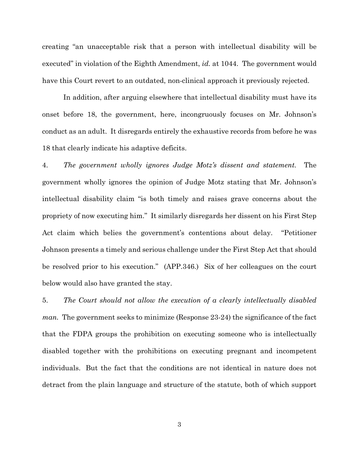creating "an unacceptable risk that a person with intellectual disability will be executed" in violation of the Eighth Amendment, *id.* at 1044. The government would have this Court revert to an outdated, non-clinical approach it previously rejected.

In addition, after arguing elsewhere that intellectual disability must have its onset before 18, the government, here, incongruously focuses on Mr. Johnson's conduct as an adult. It disregards entirely the exhaustive records from before he was 18 that clearly indicate his adaptive deficits.

4. *The government wholly ignores Judge Motz's dissent and statement.* The government wholly ignores the opinion of Judge Motz stating that Mr. Johnson's intellectual disability claim "is both timely and raises grave concerns about the propriety of now executing him." It similarly disregards her dissent on his First Step Act claim which belies the government's contentions about delay. "Petitioner Johnson presents a timely and serious challenge under the First Step Act that should be resolved prior to his execution." (APP.346.) Six of her colleagues on the court below would also have granted the stay.

5. *The Court should not allow the execution of a clearly intellectually disabled man.* The government seeks to minimize (Response 23-24) the significance of the fact that the FDPA groups the prohibition on executing someone who is intellectually disabled together with the prohibitions on executing pregnant and incompetent individuals. But the fact that the conditions are not identical in nature does not detract from the plain language and structure of the statute, both of which support

3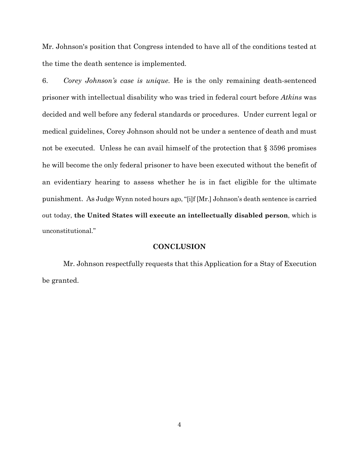Mr. Johnson's position that Congress intended to have all of the conditions tested at the time the death sentence is implemented.

6. *Corey Johnson's case is unique.* He is the only remaining death-sentenced prisoner with intellectual disability who was tried in federal court before *Atkins* was decided and well before any federal standards or procedures. Under current legal or medical guidelines, Corey Johnson should not be under a sentence of death and must not be executed. Unless he can avail himself of the protection that § 3596 promises he will become the only federal prisoner to have been executed without the benefit of an evidentiary hearing to assess whether he is in fact eligible for the ultimate punishment. As Judge Wynn noted hours ago, "[i]f [Mr.] Johnson's death sentence is carried out today, **the United States will execute an intellectually disabled person**, which is unconstitutional."

## **CONCLUSION**

Mr. Johnson respectfully requests that this Application for a Stay of Execution be granted.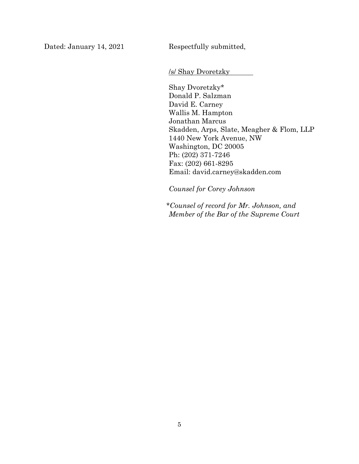Dated: January 14, 2021 Respectfully submitted,

/s/ Shay Dvoretzky

Shay Dvoretzky\* Donald P. Salzman David E. Carney Wallis M. Hampton Jonathan Marcus Skadden, Arps, Slate, Meagher & Flom, LLP 1440 New York Avenue, NW Washington, DC 20005 Ph: (202) 371-7246 Fax: (202) 661-8295 Email: david.carney@skadden.com

*Counsel for Corey Johnson* 

*\*Counsel of record for Mr. Johnson, and Member of the Bar of the Supreme Court*